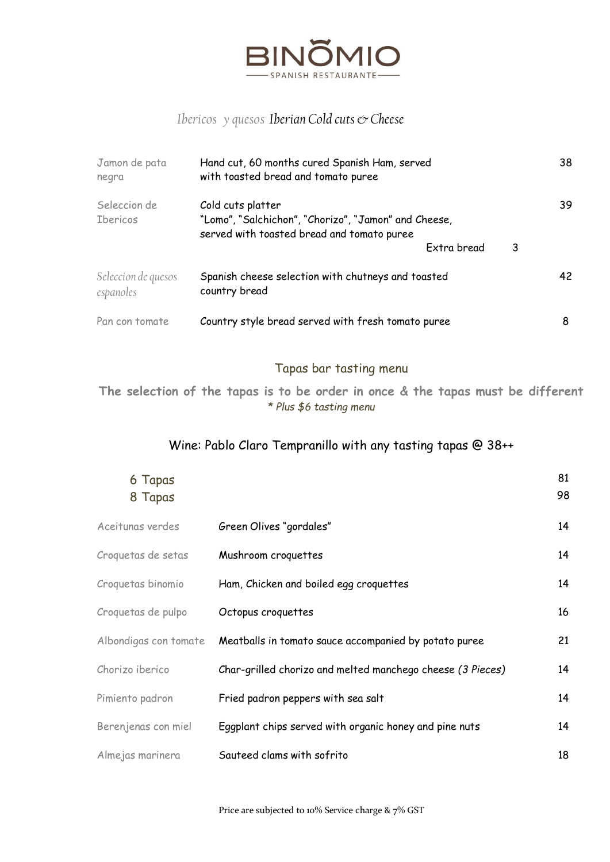

## *Ibericos* y quesos Iberian Cold cuts & Cheese

| Jamon de pata<br>negra           | Hand cut, 60 months cured Spanish Ham, served<br>with toasted bread and tomato puree                                                               | 38 |
|----------------------------------|----------------------------------------------------------------------------------------------------------------------------------------------------|----|
| Seleccion de<br><b>Ibericos</b>  | Cold cuts platter<br>"Lomo", "Salchichon", "Chorizo", "Jamon" and Cheese,<br>served with toasted bread and tomato puree<br><b>Fxtra</b> bread<br>3 | 39 |
| Seleccion de quesos<br>espanoles | Spanish cheese selection with chutneys and toasted<br>country bread                                                                                | 42 |
| Pan con tomate                   | Country style bread served with fresh tomato puree                                                                                                 | 8  |

## Tapas bar tasting menu

**The selection of the tapas is to be order in once & the tapas must be different**  *\* Plus \$6 tasting menu* 

## Wine: Pablo Claro Tempranillo with any tasting tapas @ 38++

| 6 Tapas<br>8 Tapas    |                                                            | 81<br>98 |
|-----------------------|------------------------------------------------------------|----------|
| Aceitunas verdes      | Green Olives "gordales"                                    | 14       |
| Croquetas de setas    | Mushroom croquettes                                        | 14       |
| Croquetas binomio     | Ham, Chicken and boiled egg croquettes                     | 14       |
| Croquetas de pulpo    | Octopus croquettes                                         | 16       |
| Albondigas con tomate | Meatballs in tomato sauce accompanied by potato puree      | 21       |
| Chorizo iberico       | Char-grilled chorizo and melted manchego cheese (3 Pieces) | 14       |
| Pimiento padron       | Fried padron peppers with sea salt                         | 14       |
| Berenjenas con miel   | Eggplant chips served with organic honey and pine nuts     | 14       |
| Almejas marinera      | Sauteed clams with sofrito                                 | 18       |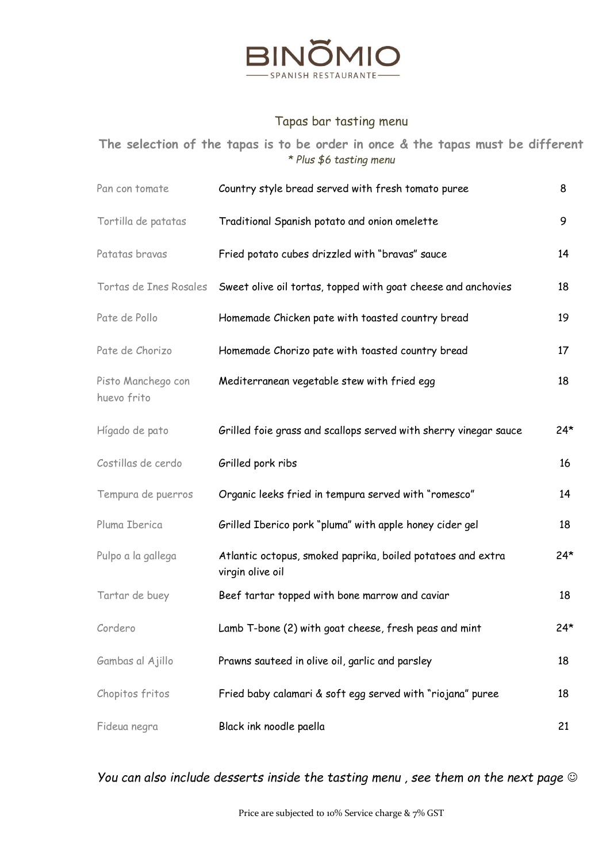

## Tapas bar tasting menu

**The selection of the tapas is to be order in once & the tapas must be different**  *\* Plus \$6 tasting menu* 

| Pan con tomate                    | Country style bread served with fresh tomato puree                              | 8     |
|-----------------------------------|---------------------------------------------------------------------------------|-------|
| Tortilla de patatas               | Traditional Spanish potato and onion omelette                                   | 9     |
| Patatas bravas                    | Fried potato cubes drizzled with "bravas" sauce                                 | 14    |
| Tortas de Ines Rosales            | Sweet olive oil tortas, topped with goat cheese and anchovies                   | 18    |
| Pate de Pollo                     | Homemade Chicken pate with toasted country bread                                | 19    |
| Pate de Chorizo                   | Homemade Chorizo pate with toasted country bread                                | 17    |
| Pisto Manchego con<br>huevo frito | Mediterranean vegetable stew with fried egg                                     | 18    |
| Hígado de pato                    | Grilled foie grass and scallops served with sherry vinegar sauce                | $24*$ |
| Costillas de cerdo                | Grilled pork ribs                                                               | 16    |
| Tempura de puerros                | Organic leeks fried in tempura served with "romesco"                            | 14    |
| Pluma Iberica                     | Grilled Iberico pork "pluma" with apple honey cider gel                         | 18    |
| Pulpo a la gallega                | Atlantic octopus, smoked paprika, boiled potatoes and extra<br>virgin olive oil | $24*$ |
| Tartar de buey                    | Beef tartar topped with bone marrow and caviar                                  | 18    |
| Cordero                           | Lamb T-bone (2) with goat cheese, fresh peas and mint                           | $24*$ |
| Gambas al Ajillo                  | Prawns sauteed in olive oil, garlic and parsley                                 | 18    |
| Chopitos fritos                   | Fried baby calamari & soft egg served with "riojana" puree                      | 18    |
| Fideua negra                      | Black ink noodle paella                                                         | 21    |

*You can also include desserts inside the tasting menu, see them on the next page*  $\odot$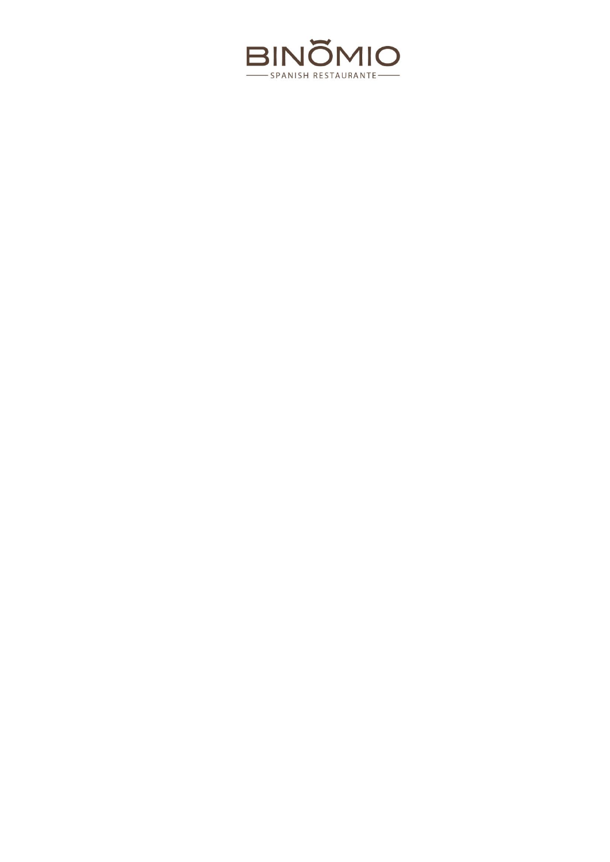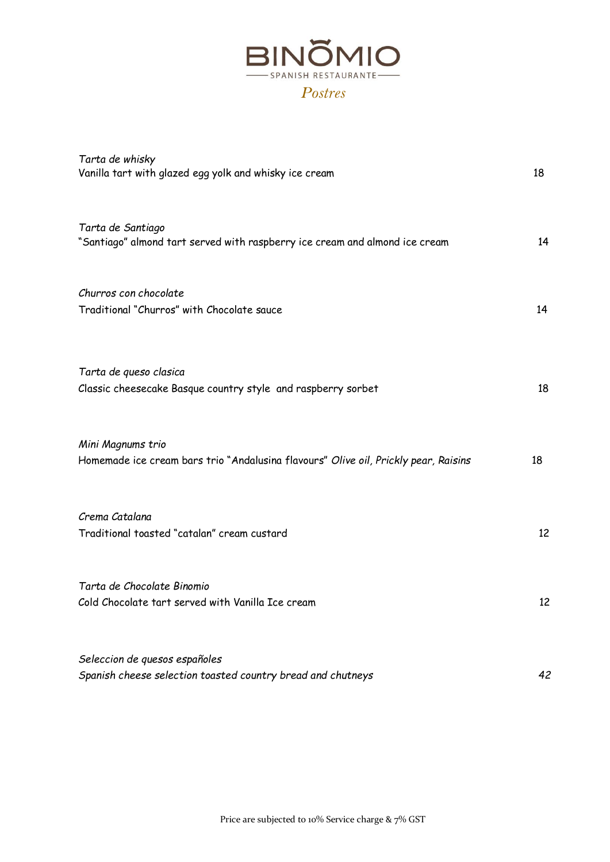$\underbrace{\mathsf{BIN}}_{\mathsf{SPANISH}\ \mathsf{REST$ *Postres* 

| Tarta de whisky<br>Vanilla tart with glazed egg yolk and whisky ice cream                                |    |
|----------------------------------------------------------------------------------------------------------|----|
| Tarta de Santiago<br>"Santiago" almond tart served with raspberry ice cream and almond ice cream         | 14 |
| Churros con chocolate<br>Traditional "Churros" with Chocolate sauce                                      | 14 |
| Tarta de queso clasica<br>Classic cheesecake Basque country style and raspberry sorbet                   | 18 |
| Mini Magnums trio<br>Homemade ice cream bars trio "Andalusina flavours" Olive oil, Prickly pear, Raisins | 18 |
| Crema Catalana<br>Traditional toasted "catalan" cream custard                                            | 12 |
| Tarta de Chocolate Binomio<br>Cold Chocolate tart served with Vanilla Ice cream                          | 12 |
| Seleccion de quesos españoles<br>Spanish cheese selection toasted country bread and chutneys             | 42 |